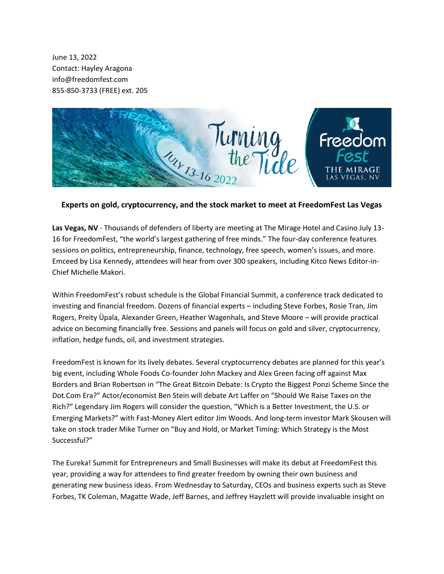June 13, 2022 Contact: Hayley Aragona info@freedomfest.com 855-850-3733 (FREE) ext. 205



## **Experts on gold, cryptocurrency, and the stock market to meet at FreedomFest Las Vegas**

**Las Vegas, NV** - Thousands of defenders of liberty are meeting at The Mirage Hotel and Casino July 13- 16 for FreedomFest, "the world's largest gathering of free minds." The four-day conference features sessions on politics, entrepreneurship, finance, technology, free speech, women's issues, and more. Emceed by Lisa Kennedy, attendees will hear from over 300 speakers, including Kitco News Editor-in-Chief Michelle Makori.

Within FreedomFest's robust schedule is the Global Financial Summit, a conference track dedicated to investing and financial freedom. Dozens of financial experts – including Steve Forbes, Rosie Tran, Jim Rogers, Preity Üpala, Alexander Green, Heather Wagenhals, and Steve Moore – will provide practical advice on becoming financially free. Sessions and panels will focus on gold and silver, cryptocurrency, inflation, hedge funds, oil, and investment strategies.

FreedomFest is known for its lively debates. Several cryptocurrency debates are planned for this year's big event, including Whole Foods Co-founder John Mackey and Alex Green facing off against Max Borders and Brian Robertson in "The Great Bitcoin Debate: Is Crypto the Biggest Ponzi Scheme Since the Dot.Com Era?" Actor/economist Ben Stein will debate Art Laffer on "Should We Raise Taxes on the Rich?" Legendary Jim Rogers will consider the question, "Which is a Better Investment, the U.S. or Emerging Markets?" with Fast-Money Alert editor Jim Woods. And long-term investor Mark Skousen will take on stock trader Mike Turner on "Buy and Hold, or Market Timing: Which Strategy is the Most Successful?"

The Eureka! Summit for Entrepreneurs and Small Businesses will make its debut at FreedomFest this year, providing a way for attendees to find greater freedom by owning their own business and generating new business ideas. From Wednesday to Saturday, CEOs and business experts such as Steve Forbes, TK Coleman, Magatte Wade, Jeff Barnes, and Jeffrey Hayzlett will provide invaluable insight on